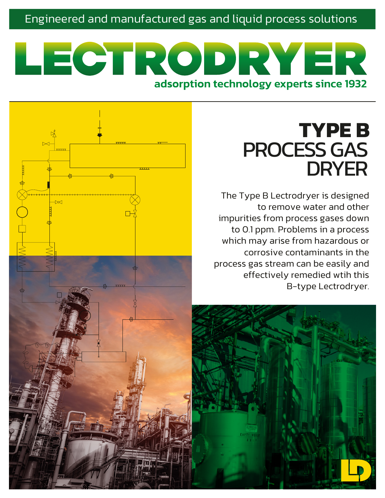Engineered and manufactured gas and liquid process solutions

# LECTRODRYER adsorption technology experts since 1932

 $\overline{M}$ 

# **TYPE B** PROCESS GAS DRYER

The Type B Lectrodryer is designed to remove water and other impurities from process gases down to 0.1 ppm. Problems in a process which may arise from hazardous or corrosive contaminants in the process gas stream can be easily and effectively remedied wtih this B-type Lectrodryer.

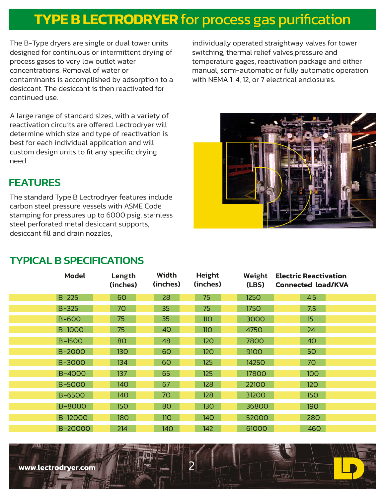## **TYPE B LECTRODRYER** for process gas purification

The B-Type dryers are single or dual tower units designed for continuous or intermittent drying of process gases to very low outlet water concentrations. Removal of water or contaminants is accomplished by adsorption to a desiccant. The desiccant is then reactivated for continued use.

A large range of standard sizes, with a variety of reactivation circuits are offered. Lectrodryer will determine which size and type of reactivation is best for each individual application and will custom design units to fit any specific drying need.

individually operated straightway valves for tower switching, thermal relief valves,pressure and temperature gages, reactivation package and either manual, semi-automatic or fully automatic operation with NEMA 1, 4, 12, or 7 electrical enclosures.



## **FFATURES**

The standard Type B Lectrodryer features include carbon steel pressure vessels with ASME Code stamping for pressures up to 6000 psig, stainless steel perforated metal desiccant supports, desiccant fill and drain nozzles,

## TYPICAL B SPECIFICATIONS

|               | <b>Model</b>  | Width<br>Length<br>(inches)<br>(inches) | (inches) | Height     | Weight<br>(LBS) | <b>Electric Reactivation</b><br><b>Connected load/KVA</b> |
|---------------|---------------|-----------------------------------------|----------|------------|-----------------|-----------------------------------------------------------|
| $B - 225$     |               | 28<br>60                                | 75       |            | 1250            | 45                                                        |
| $B - 325$     |               | 35<br>70                                | 75       |            | 1750            | 7.5                                                       |
| <b>B-600</b>  |               | 35<br>75                                |          | 110        | 3000            | 15                                                        |
| <b>B-1000</b> |               | 40<br>75                                |          | <b>110</b> | 4750            | 24                                                        |
| <b>B-1500</b> |               | 80<br>48                                |          | 120        | 7800            | 40                                                        |
|               | B-2000        | <b>130</b><br>60                        |          | 120        | 9100            | 50                                                        |
|               | B-3000        | 134<br>60                               |          | 125        | 14250           | 70                                                        |
|               | B-4000        | 65<br>137                               |          | 125        | 17800           | 100                                                       |
|               | <b>B-5000</b> | 140<br>67                               |          | 128        | 22100           | 120                                                       |
|               | <b>B-6500</b> | 70<br>140                               |          | 128        | 31200           | 150                                                       |
|               | <b>B-8000</b> | 150<br>80                               |          | 130        | 36800           | <b>190</b>                                                |
|               | B-12000       | 180<br>11 <sub>O</sub>                  |          | 140        | 52000           | 280                                                       |
|               | B-20000       | 214                                     | 140      | 142        | 61000           | 460                                                       |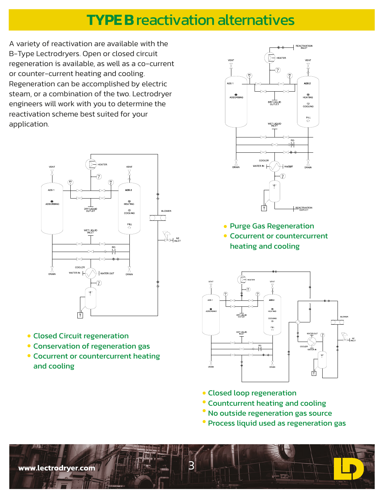## **TYPE B** reactivation alternatives

A variety of reactivation are available with the B-Type Lectrodryers. Open or closed circuit regeneration is available, as well as a co-current or counter-current heating and cooling. Regeneration can be accomplished by electric steam, or a combination of the two. Lectrodryer engineers will work with you to determine the reactivation scheme best suited for your application.



- Closed Circuit regeneration
- Conservation of regeneration gas
- Cocurrent or countercurrent heating and cooling



Cocurrent or countercurrent heating and cooling



- Closed loop regeneration
- **Countcurrent heating and cooling**
- No outside regeneration gas source
- Process liquid used as regeneration gas